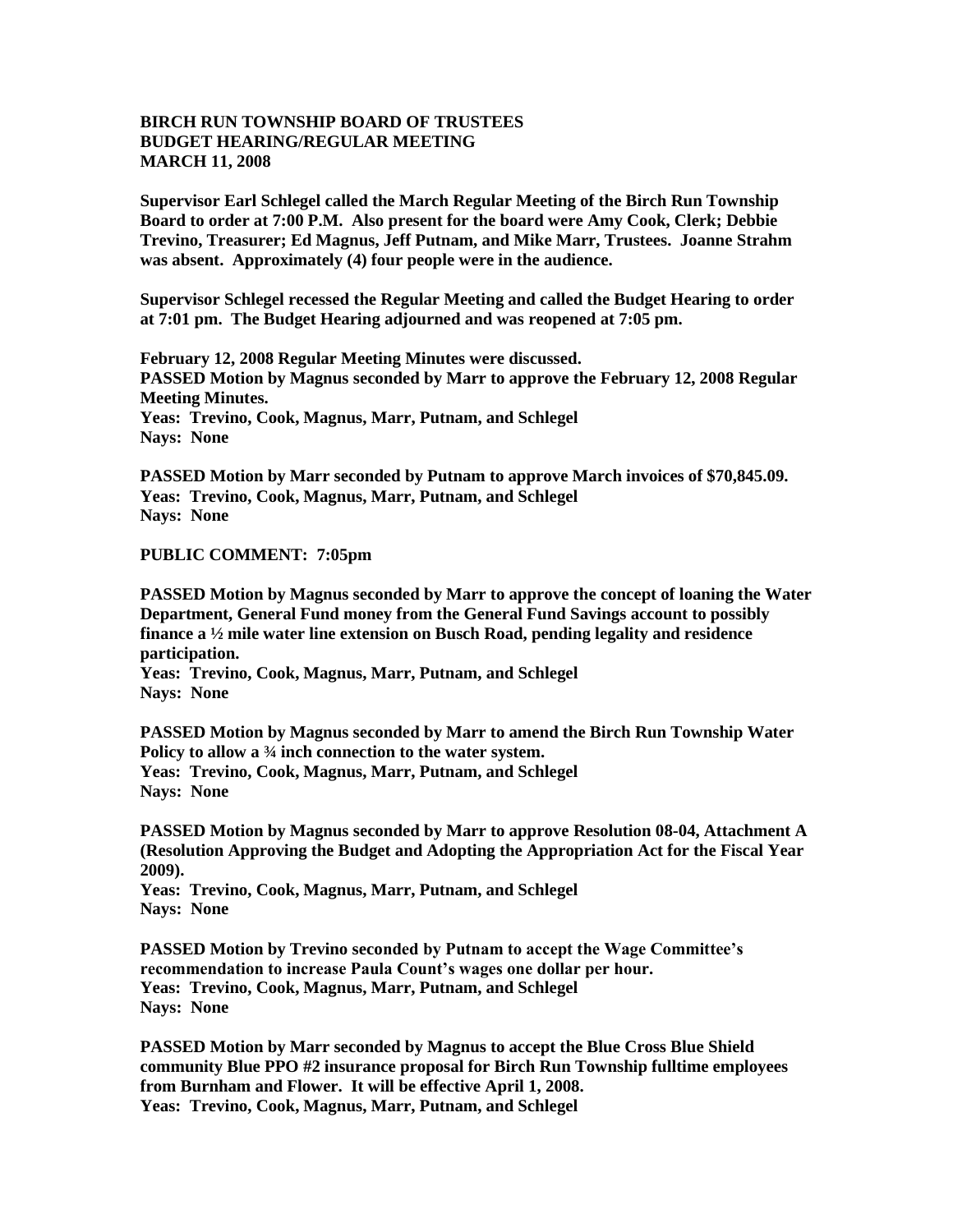## **BIRCH RUN TOWNSHIP BOARD OF TRUSTEES BUDGET HEARING/REGULAR MEETING MARCH 11, 2008**

**Supervisor Earl Schlegel called the March Regular Meeting of the Birch Run Township Board to order at 7:00 P.M. Also present for the board were Amy Cook, Clerk; Debbie Trevino, Treasurer; Ed Magnus, Jeff Putnam, and Mike Marr, Trustees. Joanne Strahm was absent. Approximately (4) four people were in the audience.** 

**Supervisor Schlegel recessed the Regular Meeting and called the Budget Hearing to order at 7:01 pm. The Budget Hearing adjourned and was reopened at 7:05 pm.**

**February 12, 2008 Regular Meeting Minutes were discussed. PASSED Motion by Magnus seconded by Marr to approve the February 12, 2008 Regular Meeting Minutes. Yeas: Trevino, Cook, Magnus, Marr, Putnam, and Schlegel Nays: None** 

**PASSED Motion by Marr seconded by Putnam to approve March invoices of \$70,845.09. Yeas: Trevino, Cook, Magnus, Marr, Putnam, and Schlegel Nays: None** 

## **PUBLIC COMMENT: 7:05pm**

**PASSED Motion by Magnus seconded by Marr to approve the concept of loaning the Water Department, General Fund money from the General Fund Savings account to possibly finance a ½ mile water line extension on Busch Road, pending legality and residence participation.**

**Yeas: Trevino, Cook, Magnus, Marr, Putnam, and Schlegel Nays: None** 

**PASSED Motion by Magnus seconded by Marr to amend the Birch Run Township Water Policy to allow a ¾ inch connection to the water system. Yeas: Trevino, Cook, Magnus, Marr, Putnam, and Schlegel Nays: None** 

**PASSED Motion by Magnus seconded by Marr to approve Resolution 08-04, Attachment A (Resolution Approving the Budget and Adopting the Appropriation Act for the Fiscal Year 2009).**

**Yeas: Trevino, Cook, Magnus, Marr, Putnam, and Schlegel Nays: None** 

**PASSED Motion by Trevino seconded by Putnam to accept the Wage Committee's recommendation to increase Paula Count's wages one dollar per hour. Yeas: Trevino, Cook, Magnus, Marr, Putnam, and Schlegel Nays: None** 

**PASSED Motion by Marr seconded by Magnus to accept the Blue Cross Blue Shield community Blue PPO #2 insurance proposal for Birch Run Township fulltime employees from Burnham and Flower. It will be effective April 1, 2008. Yeas: Trevino, Cook, Magnus, Marr, Putnam, and Schlegel**